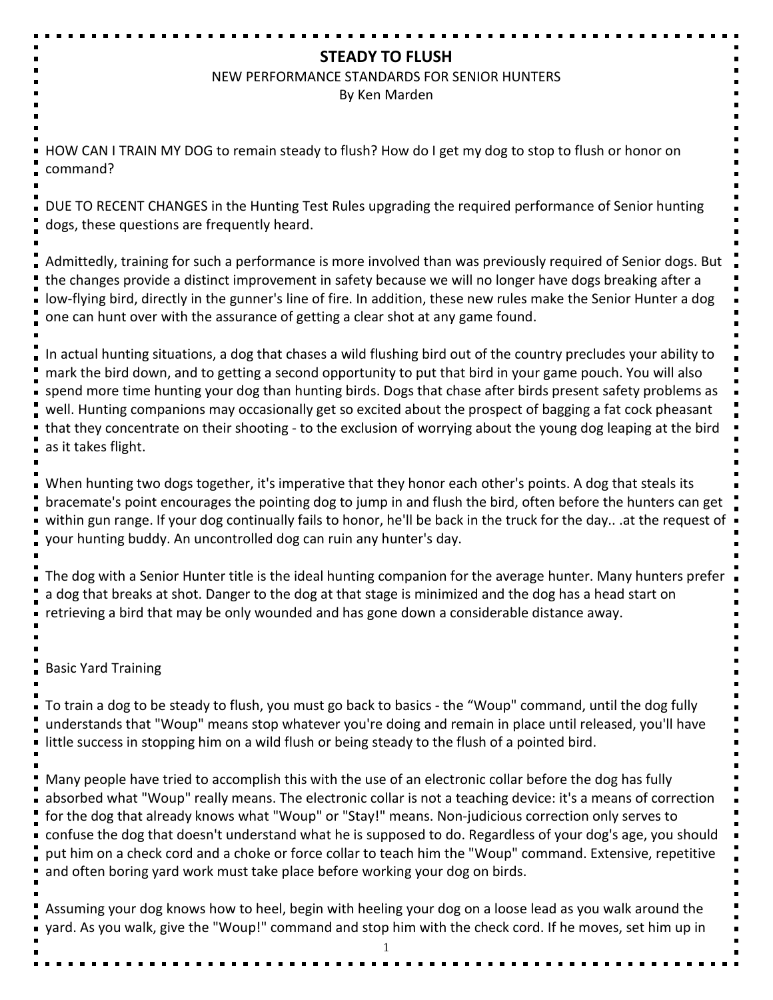# **STEADY TO FLUSH**

#### NEW PERFORMANCE STANDARDS FOR SENIOR HUNTERS

By Ken Marden

HOW CAN I TRAIN MY DOG to remain steady to flush? How do I get my dog to stop to flush or honor on command?

DUE TO RECENT CHANGES in the Hunting Test Rules upgrading the required performance of Senior hunting dogs, these questions are frequently heard.

Admittedly, training for such a performance is more involved than was previously required of Senior dogs. But the changes provide a distinct improvement in safety because we will no longer have dogs breaking after a low-flying bird, directly in the gunner's line of fire. In addition, these new rules make the Senior Hunter a dog one can hunt over with the assurance of getting a clear shot at any game found.

In actual hunting situations, a dog that chases a wild flushing bird out of the country precludes your ability to mark the bird down, and to getting a second opportunity to put that bird in your game pouch. You will also spend more time hunting your dog than hunting birds. Dogs that chase after birds present safety problems as well. Hunting companions may occasionally get so excited about the prospect of bagging a fat cock pheasant that they concentrate on their shooting - to the exclusion of worrying about the young dog leaping at the bird as it takes flight.

When hunting two dogs together, it's imperative that they honor each other's points. A dog that steals its bracemate's point encourages the pointing dog to jump in and flush the bird, often before the hunters can get within gun range. If your dog continually fails to honor, he'll be back in the truck for the day.. .at the request of your hunting buddy. An uncontrolled dog can ruin any hunter's day.

The dog with a Senior Hunter title is the ideal hunting companion for the average hunter. Many hunters prefer a dog that breaks at shot. Danger to the dog at that stage is minimized and the dog has a head start on retrieving a bird that may be only wounded and has gone down a considerable distance away.

Basic Yard Training

To train a dog to be steady to flush, you must go back to basics - the "Woup" command, until the dog fully understands that "Woup" means stop whatever you're doing and remain in place until released, you'll have little success in stopping him on a wild flush or being steady to the flush of a pointed bird.

Many people have tried to accomplish this with the use of an electronic collar before the dog has fully absorbed what "Woup" really means. The electronic collar is not a teaching device: it's a means of correction for the dog that already knows what "Woup" or "Stay!" means. Non-judicious correction only serves to confuse the dog that doesn't understand what he is supposed to do. Regardless of your dog's age, you should put him on a check cord and a choke or force collar to teach him the "Woup" command. Extensive, repetitive and often boring yard work must take place before working your dog on birds.

Assuming your dog knows how to heel, begin with heeling your dog on a loose lead as you walk around the yard. As you walk, give the "Woup!" command and stop him with the check cord. If he moves, set him up in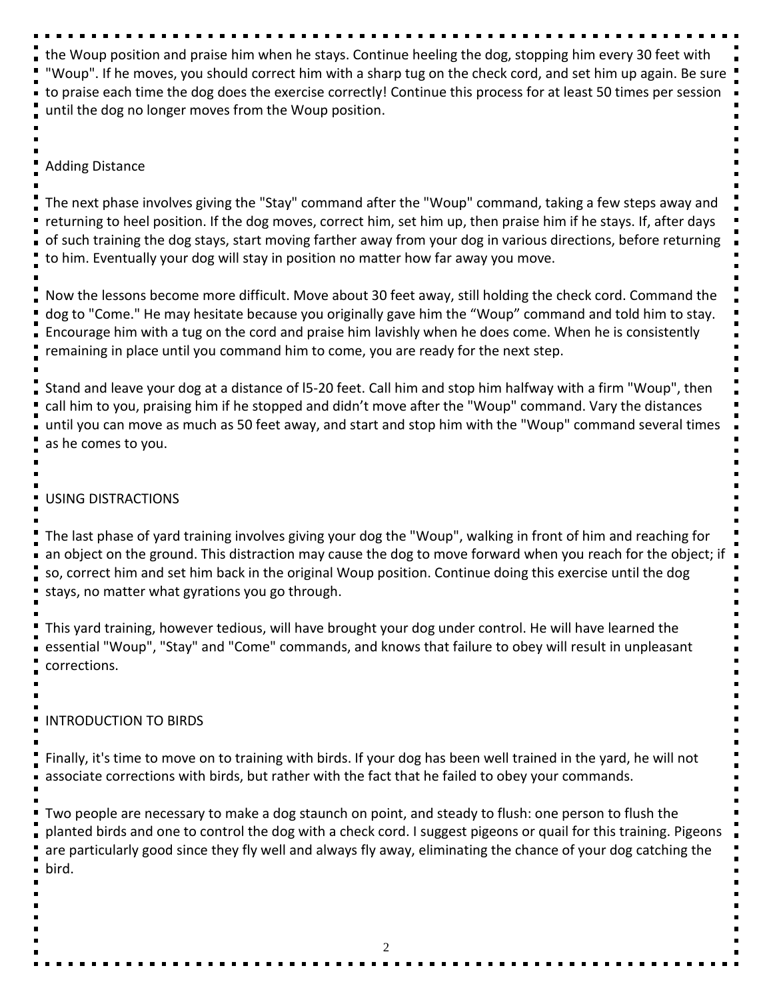the Woup position and praise him when he stays. Continue heeling the dog, stopping him every 30 feet with "Woup". If he moves, you should correct him with a sharp tug on the check cord, and set him up again. Be sure to praise each time the dog does the exercise correctly! Continue this process for at least 50 times per session until the dog no longer moves from the Woup position.

#### Adding Distance

The next phase involves giving the "Stay" command after the "Woup" command, taking a few steps away and returning to heel position. If the dog moves, correct him, set him up, then praise him if he stays. If, after days of such training the dog stays, start moving farther away from your dog in various directions, before returning to him. Eventually your dog will stay in position no matter how far away you move.

Now the lessons become more difficult. Move about 30 feet away, still holding the check cord. Command the dog to "Come." He may hesitate because you originally gave him the "Woup" command and told him to stay. Encourage him with a tug on the cord and praise him lavishly when he does come. When he is consistently remaining in place until you command him to come, you are ready for the next step.

Stand and leave your dog at a distance of l5-20 feet. Call him and stop him halfway with a firm "Woup", then call him to you, praising him if he stopped and didn't move after the "Woup" command. Vary the distances until you can move as much as 50 feet away, and start and stop him with the "Woup" command several times as he comes to you.

### USING DISTRACTIONS

The last phase of yard training involves giving your dog the "Woup", walking in front of him and reaching for an object on the ground. This distraction may cause the dog to move forward when you reach for the object; if so, correct him and set him back in the original Woup position. Continue doing this exercise until the dog stays, no matter what gyrations you go through.

This yard training, however tedious, will have brought your dog under control. He will have learned the essential "Woup", "Stay" and "Come" commands, and knows that failure to obey will result in unpleasant corrections.

INTRODUCTION TO BIRDS

Finally, it's time to move on to training with birds. If your dog has been well trained in the yard, he will not associate corrections with birds, but rather with the fact that he failed to obey your commands.

Two people are necessary to make a dog staunch on point, and steady to flush: one person to flush the planted birds and one to control the dog with a check cord. I suggest pigeons or quail for this training. Pigeons are particularly good since they fly well and always fly away, eliminating the chance of your dog catching the bird.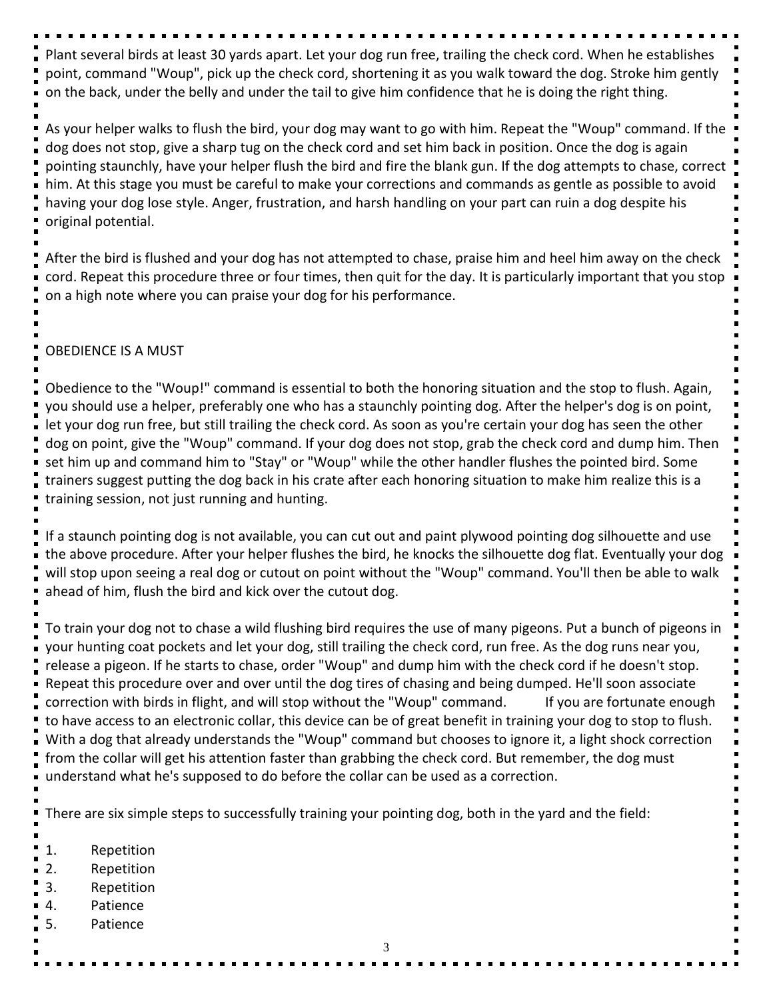Plant several birds at least 30 yards apart. Let your dog run free, trailing the check cord. When he establishes point, command "Woup", pick up the check cord, shortening it as you walk toward the dog. Stroke him gently on the back, under the belly and under the tail to give him confidence that he is doing the right thing.

As your helper walks to flush the bird, your dog may want to go with him. Repeat the "Woup" command. If the dog does not stop, give a sharp tug on the check cord and set him back in position. Once the dog is again pointing staunchly, have your helper flush the bird and fire the blank gun. If the dog attempts to chase, correct him. At this stage you must be careful to make your corrections and commands as gentle as possible to avoid having your dog lose style. Anger, frustration, and harsh handling on your part can ruin a dog despite his original potential.

After the bird is flushed and your dog has not attempted to chase, praise him and heel him away on the check cord. Repeat this procedure three or four times, then quit for the day. It is particularly important that you stop on a high note where you can praise your dog for his performance.

## OBEDIENCE IS A MUST

Obedience to the "Woup!" command is essential to both the honoring situation and the stop to flush. Again, you should use a helper, preferably one who has a staunchly pointing dog. After the helper's dog is on point, let your dog run free, but still trailing the check cord. As soon as you're certain your dog has seen the other dog on point, give the "Woup" command. If your dog does not stop, grab the check cord and dump him. Then set him up and command him to "Stay" or "Woup" while the other handler flushes the pointed bird. Some trainers suggest putting the dog back in his crate after each honoring situation to make him realize this is a training session, not just running and hunting.

If a staunch pointing dog is not available, you can cut out and paint plywood pointing dog silhouette and use the above procedure. After your helper flushes the bird, he knocks the silhouette dog flat. Eventually your dog will stop upon seeing a real dog or cutout on point without the "Woup" command. You'll then be able to walk ahead of him, flush the bird and kick over the cutout dog.

To train your dog not to chase a wild flushing bird requires the use of many pigeons. Put a bunch of pigeons in your hunting coat pockets and let your dog, still trailing the check cord, run free. As the dog runs near you, release a pigeon. If he starts to chase, order "Woup" and dump him with the check cord if he doesn't stop. Repeat this procedure over and over until the dog tires of chasing and being dumped. He'll soon associate correction with birds in flight, and will stop without the "Woup" command. If you are fortunate enough to have access to an electronic collar, this device can be of great benefit in training your dog to stop to flush. With a dog that already understands the "Woup" command but chooses to ignore it, a light shock correction from the collar will get his attention faster than grabbing the check cord. But remember, the dog must understand what he's supposed to do before the collar can be used as a correction.

There are six simple steps to successfully training your pointing dog, both in the yard and the field:

- 1. Repetition
- 2. Repetition
- 3. Repetition
- 4. Patience
- 5. Patience